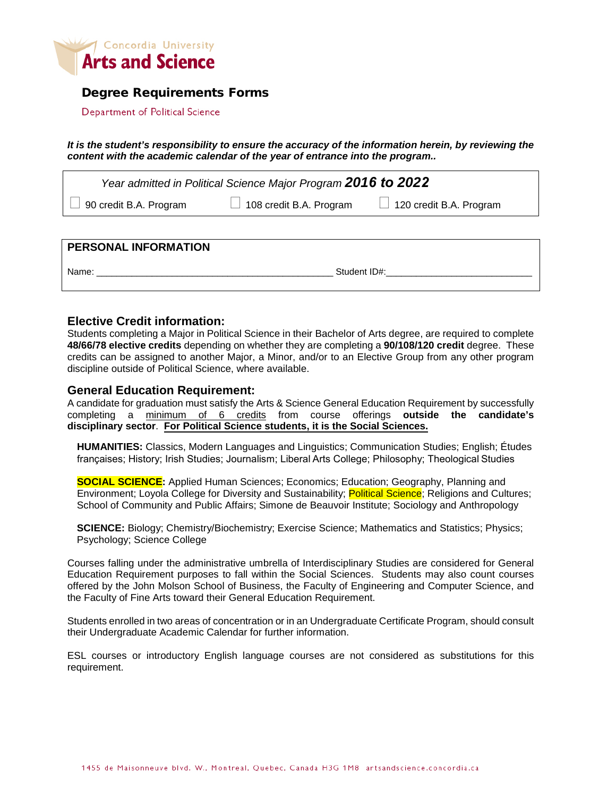

### Degree Requirements Forms

Department of Political Science

*It is the student's responsibility to ensure the accuracy of the information herein, by reviewing the content with the academic calendar of the year of entrance into the program..*

| Year admitted in Political Science Major Program 2016 to 2022 |                                                               |  |  |  |  |  |  |
|---------------------------------------------------------------|---------------------------------------------------------------|--|--|--|--|--|--|
| $\vert$ $\vert$ 90 credit B.A. Program                        | $\Box$ 108 credit B.A. Program $\Box$ 120 credit B.A. Program |  |  |  |  |  |  |
|                                                               |                                                               |  |  |  |  |  |  |

**PERSONAL INFORMATION** Name: \_\_\_\_\_\_\_\_\_\_\_\_\_\_\_\_\_\_\_\_\_\_\_\_\_\_\_\_\_\_\_\_\_\_\_\_\_\_\_\_\_\_\_\_\_\_\_ Student ID#:\_\_\_\_\_\_\_\_\_\_\_\_\_\_\_\_\_\_\_\_\_\_\_\_\_\_\_\_\_

#### **Elective Credit information:**

Students completing a Major in Political Science in their Bachelor of Arts degree, are required to complete **48/66/78 elective credits** depending on whether they are completing a **90/108/120 credit** degree. These credits can be assigned to another Major, a Minor, and/or to an Elective Group from any other program discipline outside of Political Science, where available.

#### **General Education Requirement:**

A candidate for graduation must satisfy the Arts & Science General Education Requirement by successfully completing a minimum of 6 credits from course offerings **outside the candidate's disciplinary sector**. **For Political Science students, it is the Social Sciences.**

**HUMANITIES:** Classics, Modern Languages and Linguistics; Communication Studies; English; Études françaises; History; Irish Studies; Journalism; Liberal Arts College; Philosophy; Theological Studies

**SOCIAL SCIENCE:** Applied Human Sciences; Economics; Education; Geography, Planning and Environment; Loyola College for Diversity and Sustainability; Political Science; Religions and Cultures; School of Community and Public Affairs; Simone de Beauvoir Institute; Sociology and Anthropology

**SCIENCE:** Biology; Chemistry/Biochemistry; Exercise Science; Mathematics and Statistics; Physics; Psychology; Science College

Courses falling under the administrative umbrella of Interdisciplinary Studies are considered for General Education Requirement purposes to fall within the Social Sciences. Students may also count courses offered by the John Molson School of Business, the Faculty of Engineering and Computer Science, and the Faculty of Fine Arts toward their General Education Requirement.

Students enrolled in two areas of concentration or in an Undergraduate Certificate Program, should consult their Undergraduate Academic Calendar for further information.

ESL courses or introductory English language courses are not considered as substitutions for this requirement.